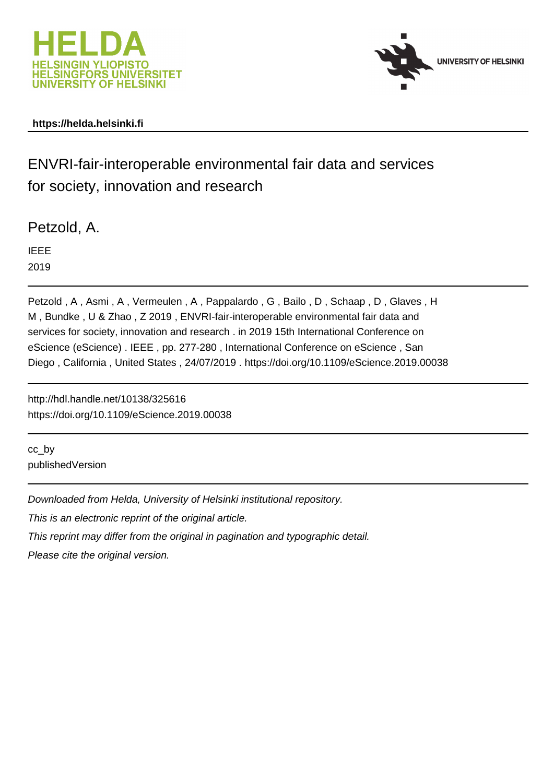



### **https://helda.helsinki.fi**

## ENVRI-fair-interoperable environmental fair data and services for society, innovation and research

Petzold, A.

IEEE 2019

Petzold , A , Asmi , A , Vermeulen , A , Pappalardo , G , Bailo , D , Schaap , D , Glaves , H M , Bundke , U & Zhao , Z 2019 , ENVRI-fair-interoperable environmental fair data and services for society, innovation and research . in 2019 15th International Conference on eScience (eScience) . IEEE , pp. 277-280 , International Conference on eScience , San Diego , California , United States , 24/07/2019 . https://doi.org/10.1109/eScience.2019.00038

http://hdl.handle.net/10138/325616 https://doi.org/10.1109/eScience.2019.00038

cc\_by publishedVersion

Downloaded from Helda, University of Helsinki institutional repository.

This is an electronic reprint of the original article.

This reprint may differ from the original in pagination and typographic detail.

Please cite the original version.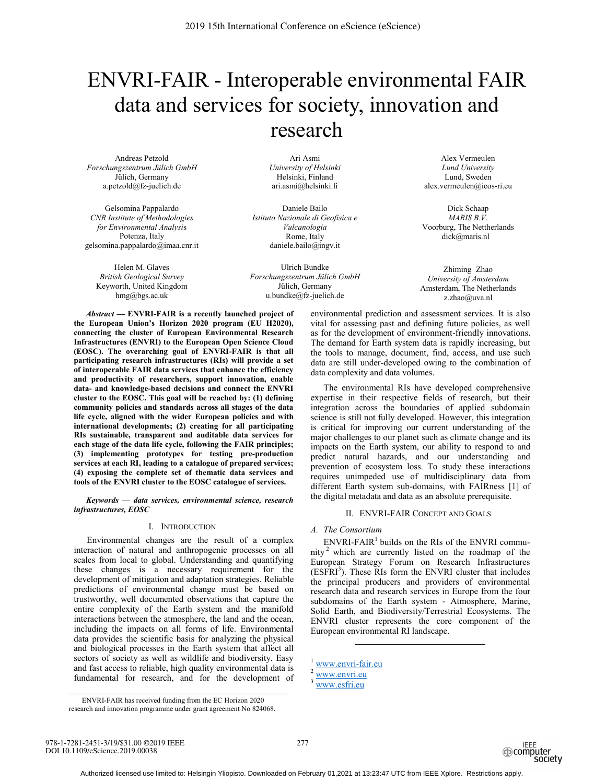# ENVRI-FAIR - Interoperable environmental FAIR data and services for society, innovation and research

Andreas Petzold *Forschungszentrum Jülich GmbH*  Jülich, Germany a.petzold@fz-juelich.de

Gelsomina Pappalardo *CNR Institute of Methodologies for Environmental Analysi*s Potenza, Italy gelsomina.pappalardo@imaa.cnr.it

Helen M. Glaves *British Geological Survey*  Keyworth, United Kingdom hmg@bgs.ac.uk

Ari Asmi *University of Helsinki* Helsinki, Finland ari.asmi@helsinki.fi

Daniele Bailo *Istituto Nazionale di Geofisica e Vulcanologia* Rome, Italy daniele.bailo@ingv.it

Ulrich Bundke *Forschungszentrum Jülich GmbH*  Jülich, Germany u.bundke@fz-juelich.de

*Abstract* **— ENVRI-FAIR is a recently launched project of the European Union's Horizon 2020 program (EU H2020), connecting the cluster of European Environmental Research Infrastructures (ENVRI) to the European Open Science Cloud (EOSC). The overarching goal of ENVRI-FAIR is that all participating research infrastructures (RIs) will provide a set of interoperable FAIR data services that enhance the efficiency and productivity of researchers, support innovation, enable data- and knowledge-based decisions and connect the ENVRI cluster to the EOSC. This goal will be reached by: (1) defining community policies and standards across all stages of the data life cycle, aligned with the wider European policies and with international developments; (2) creating for all participating RIs sustainable, transparent and auditable data services for each stage of the data life cycle, following the FAIR principles; (3) implementing prototypes for testing pre-production services at each RI, leading to a catalogue of prepared services; (4) exposing the complete set of thematic data services and tools of the ENVRI cluster to the EOSC catalogue of services.**

*Keywords — data services, environmental science, research infrastructures, EOSC* 

#### I. INTRODUCTION

Environmental changes are the result of a complex interaction of natural and anthropogenic processes on all scales from local to global. Understanding and quantifying these changes is a necessary requirement for the development of mitigation and adaptation strategies. Reliable predictions of environmental change must be based on trustworthy, well documented observations that capture the entire complexity of the Earth system and the manifold interactions between the atmosphere, the land and the ocean, including the impacts on all forms of life. Environmental data provides the scientific basis for analyzing the physical and biological processes in the Earth system that affect all sectors of society as well as wildlife and biodiversity. Easy and fast access to reliable, high quality environmental data is fundamental for research, and for the development of

Alex Vermeulen *Lund University* Lund, Sweden alex.vermeulen@icos-ri.eu

Dick Schaap *MARIS B.V.* Voorburg, The Nettherlands dick@maris.nl

Zhiming Zhao *University of Amsterdam*  Amsterdam, The Netherlands z.zhao@uva.nl

environmental prediction and assessment services. It is also vital for assessing past and defining future policies, as well as for the development of environment-friendly innovations. The demand for Earth system data is rapidly increasing, but the tools to manage, document, find, access, and use such data are still under-developed owing to the combination of data complexity and data volumes.

The environmental RIs have developed comprehensive expertise in their respective fields of research, but their integration across the boundaries of applied subdomain science is still not fully developed. However, this integration is critical for improving our current understanding of the major challenges to our planet such as climate change and its impacts on the Earth system, our ability to respond to and predict natural hazards, and our understanding and prevention of ecosystem loss. To study these interactions requires unimpeded use of multidisciplinary data from different Earth system sub-domains, with FAIRness [1] of the digital metadata and data as an absolute prerequisite.

#### II. ENVRI-FAIR CONCEPT AND GOALS

#### *A. The Consortium*

 $ENVRI\text{-}FAIR^1$  builds on the RIs of the ENVRI community<sup>2</sup> which are currently listed on the roadmap of the European Strategy Forum on Research Infrastructures  $(ESFRI<sup>3</sup>)$ . These RIs form the ENVRI cluster that includes the principal producers and providers of environmental research data and research services in Europe from the four subdomains of the Earth system - Atmosphere, Marine, Solid Earth, and Biodiversity/Terrestrial Ecosystems. The ENVRI cluster represents the core component of the European environmental RI landscape.

 $\overline{a}$ 

978-1-7281-2451-3/19/\$31.00 ©2019 IEEE DOI 10.1109/eScience.2019.00038

277



<sup>&</sup>lt;sup>1</sup> www.envri-fair.eu

 $2 \overline{\text{www.envri.eu}}$ 

 $3$  www.esfri.eu

ENVRI-FAIR has received funding from the EC Horizon 2020 research and innovation programme under grant agreement No 824068.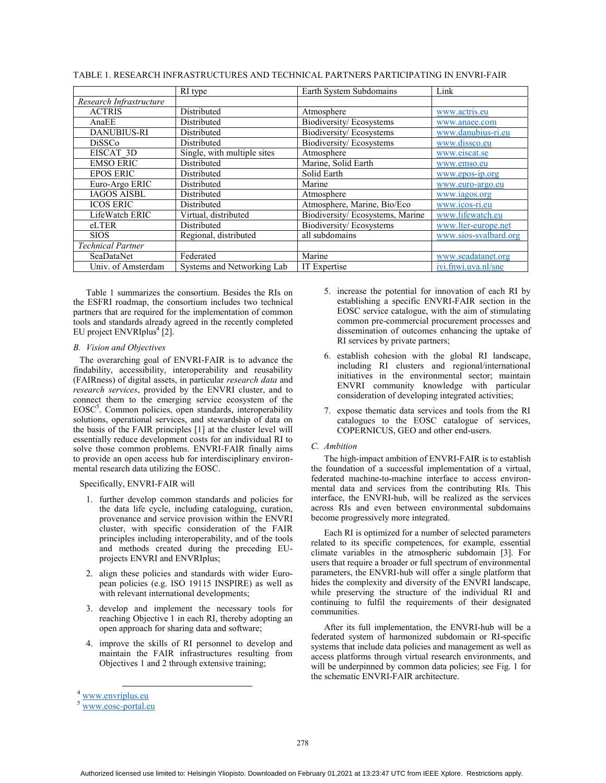|                          | RI type                     | Earth System Subdomains         | Link                  |
|--------------------------|-----------------------------|---------------------------------|-----------------------|
| Research Infrastructure  |                             |                                 |                       |
| <b>ACTRIS</b>            | Distributed                 | Atmosphere                      | www.actris.eu         |
| AnaEE                    | Distributed                 | Biodiversity/Ecosystems         | www.anaee.com         |
| <b>DANUBIUS-RI</b>       | Distributed                 | <b>Biodiversity/Ecosystems</b>  | www.danubius-ri.eu    |
| <b>DiSSCo</b>            | Distributed                 | Biodiversity/Ecosystems         | www.dissco.eu         |
| EISCAT 3D                | Single, with multiple sites | Atmosphere                      | www.eiscat.se         |
| <b>EMSO ERIC</b>         | Distributed                 | Marine, Solid Earth             | www.emso.eu           |
| <b>EPOS ERIC</b>         | Distributed                 | Solid Earth                     | www.epos-ip.org       |
| Euro-Argo ERIC           | Distributed                 | Marine                          | www.euro-argo.eu      |
| <b>IAGOS AISBL</b>       | Distributed                 | Atmosphere                      | www.iagos.org         |
| <b>ICOS ERIC</b>         | Distributed                 | Atmosphere, Marine, Bio/Eco     | www.icos-ri.eu        |
| LifeWatch ERIC           | Virtual, distributed        | Biodiversity/Ecosystems, Marine | www.lifewatch.eu      |
| eLTER                    | Distributed                 | Biodiversity/Ecosystems         | www.lter-europe.net   |
| <b>SIOS</b>              | Regional, distributed       | all subdomains                  | www.sios-svalbard.org |
| <b>Technical Partner</b> |                             |                                 |                       |
| SeaDataNet               | Federated                   | Marine                          | www.seadatanet.org    |
| Univ. of Amsterdam       | Systems and Networking Lab  | IT Expertise                    | ivi.fnwi.uva.nl/sne   |

TABLE 1. RESEARCH INFRASTRUCTURES AND TECHNICAL PARTNERS PARTICIPATING IN ENVRI-FAIR

Table 1 summarizes the consortium. Besides the RIs on the ESFRI roadmap, the consortium includes two technical partners that are required for the implementation of common tools and standards already agreed in the recently completed EU project ENVRIplus $4$  [2].

#### *B. Vision and Objectives*

The overarching goal of ENVRI-FAIR is to advance the findability, accessibility, interoperability and reusability (FAIRness) of digital assets, in particular *research data* and *research services*, provided by the ENVRI cluster, and to connect them to the emerging service ecosystem of the EOSC<sup>5</sup>. Common policies, open standards, interoperability solutions, operational services, and stewardship of data on the basis of the FAIR principles [1] at the cluster level will essentially reduce development costs for an individual RI to solve those common problems. ENVRI-FAIR finally aims to provide an open access hub for interdisciplinary environmental research data utilizing the EOSC.

#### Specifically, ENVRI-FAIR will

- 1. further develop common standards and policies for the data life cycle, including cataloguing, curation, provenance and service provision within the ENVRI cluster, with specific consideration of the FAIR principles including interoperability, and of the tools and methods created during the preceding EUprojects ENVRI and ENVRIplus;
- 2. align these policies and standards with wider European policies (e.g. ISO 19115 INSPIRE) as well as with relevant international developments;
- 3. develop and implement the necessary tools for reaching Objective 1 in each RI, thereby adopting an open approach for sharing data and software;
- 4. improve the skills of RI personnel to develop and maintain the FAIR infrastructures resulting from Objectives 1 and 2 through extensive training;
- 5. increase the potential for innovation of each RI by establishing a specific ENVRI-FAIR section in the EOSC service catalogue, with the aim of stimulating common pre-commercial procurement processes and dissemination of outcomes enhancing the uptake of RI services by private partners;
- 6. establish cohesion with the global RI landscape, including RI clusters and regional/international initiatives in the environmental sector; maintain ENVRI community knowledge with particular consideration of developing integrated activities;
- 7. expose thematic data services and tools from the RI catalogues to the EOSC catalogue of services, COPERNICUS, GEO and other end-users.

#### *C. Ambition*

The high-impact ambition of ENVRI-FAIR is to establish the foundation of a successful implementation of a virtual, federated machine-to-machine interface to access environmental data and services from the contributing RIs. This interface, the ENVRI-hub, will be realized as the services across RIs and even between environmental subdomains become progressively more integrated.

Each RI is optimized for a number of selected parameters related to its specific competences, for example, essential climate variables in the atmospheric subdomain [3]. For users that require a broader or full spectrum of environmental parameters, the ENVRI-hub will offer a single platform that hides the complexity and diversity of the ENVRI landscape, while preserving the structure of the individual RI and continuing to fulfil the requirements of their designated communities.

After its full implementation, the ENVRI-hub will be a federated system of harmonized subdomain or RI-specific systems that include data policies and management as well as access platforms through virtual research environments, and will be underpinned by common data policies; see Fig. 1 for the schematic ENVRI-FAIR architecture.

 <sup>4</sup> www.envriplus.eu

<sup>5</sup> www.eosc-portal.eu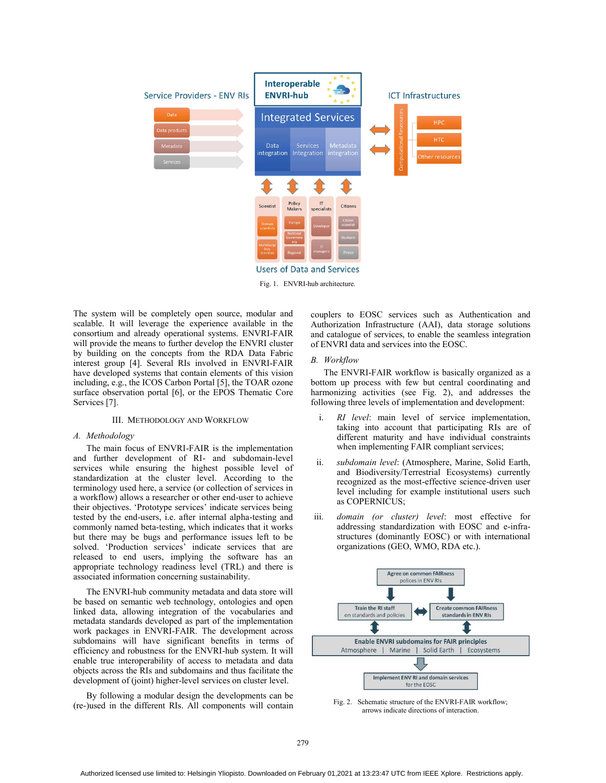

The system will be completely open source, modular and scalable. It will leverage the experience available in the consortium and already operational systems. ENVRI-FAIR will provide the means to further develop the ENVRI cluster by building on the concepts from the RDA Data Fabric interest group [4]. Several RIs involved in ENVRI-FAIR have developed systems that contain elements of this vision including, e.g., the ICOS Carbon Portal [5], the TOAR ozone surface observation portal [6], or the EPOS Thematic Core Services [7].

#### III. METHODOLOGY AND WORKFLOW

#### *A. Methodology*

The main focus of ENVRI-FAIR is the implementation and further development of RI- and subdomain-level services while ensuring the highest possible level of standardization at the cluster level. According to the terminology used here, a service (or collection of services in a workflow) allows a researcher or other end-user to achieve their objectives. 'Prototype services' indicate services being tested by the end-users, i.e. after internal alpha-testing and commonly named beta-testing, which indicates that it works but there may be bugs and performance issues left to be solved. 'Production services' indicate services that are released to end users, implying the software has an appropriate technology readiness level (TRL) and there is associated information concerning sustainability.

The ENVRI-hub community metadata and data store will be based on semantic web technology, ontologies and open linked data, allowing integration of the vocabularies and metadata standards developed as part of the implementation work packages in ENVRI-FAIR. The development across subdomains will have significant benefits in terms of efficiency and robustness for the ENVRI-hub system. It will enable true interoperability of access to metadata and data objects across the RIs and subdomains and thus facilitate the development of (joint) higher-level services on cluster level.

By following a modular design the developments can be (re-)used in the different RIs. All components will contain

couplers to EOSC services such as Authentication and Authorization Infrastructure (AAI), data storage solutions and catalogue of services, to enable the seamless integration of ENVRI data and services into the EOSC.

#### *B. Workflow*

The ENVRI-FAIR workflow is basically organized as a bottom up process with few but central coordinating and harmonizing activities (see Fig. 2), and addresses the following three levels of implementation and development:

- i. *RI level*: main level of service implementation, taking into account that participating RIs are of different maturity and have individual constraints when implementing FAIR compliant services;
- ii. *subdomain level*: (Atmosphere, Marine, Solid Earth, and Biodiversity/Terrestrial Ecosystems) currently recognized as the most-effective science-driven user level including for example institutional users such as COPERNICUS;
- iii. *domain (or cluster) level*: most effective for addressing standardization with EOSC and e-infrastructures (dominantly EOSC) or with international organizations (GEO, WMO, RDA etc.).



Fig. 2.Schematic structure of the ENVRI-FAIR workflow; arrows indicate directions of interaction.